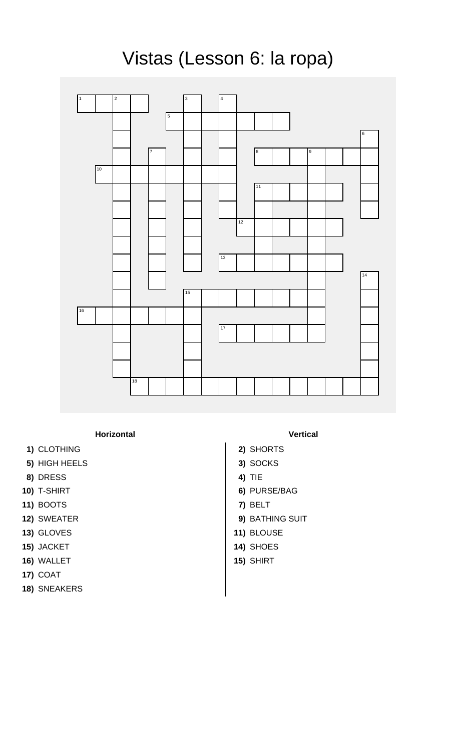## Vistas (Lesson 6: la ropa)



## **Horizontal Vertical**

- **1)** CLOTHING **2)** SHORTS
- **5)** HIGH HEELS **3)** SOCKS
- **8)** DRESS **4)** TIE
- 
- **11)** BOOTS **7)** BELT
- 
- 13) GLOVES 13) ALOUSE
- **15)** JACKET **14)** SHOES
- **16)** WALLET **15)** SHIRT
- **17)** COAT
- **18)** SNEAKERS

- 
- 
- 
- **10)** T-SHIRT **6)** PURSE/BAG
	-
- **12)** SWEATER **9)** BATHING SUIT
	-
	-
	-